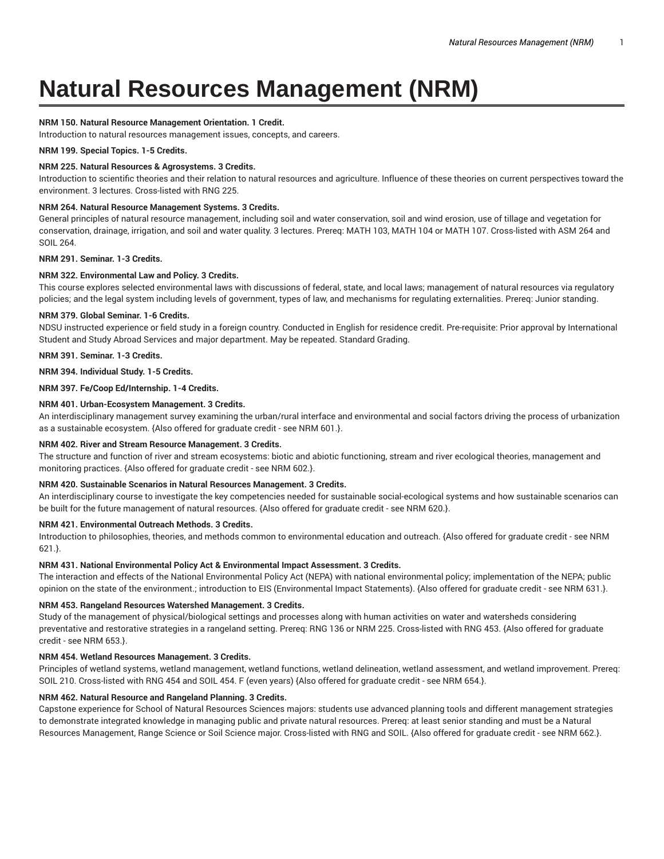# **Natural Resources Management (NRM)**

# **NRM 150. Natural Resource Management Orientation. 1 Credit.**

Introduction to natural resources management issues, concepts, and careers.

# **NRM 199. Special Topics. 1-5 Credits.**

# **NRM 225. Natural Resources & Agrosystems. 3 Credits.**

Introduction to scientific theories and their relation to natural resources and agriculture. Influence of these theories on current perspectives toward the environment. 3 lectures. Cross-listed with RNG 225.

## **NRM 264. Natural Resource Management Systems. 3 Credits.**

General principles of natural resource management, including soil and water conservation, soil and wind erosion, use of tillage and vegetation for conservation, drainage, irrigation, and soil and water quality. 3 lectures. Prereq: MATH 103, MATH 104 or MATH 107. Cross-listed with ASM 264 and SOIL 264.

# **NRM 291. Seminar. 1-3 Credits.**

# **NRM 322. Environmental Law and Policy. 3 Credits.**

This course explores selected environmental laws with discussions of federal, state, and local laws; management of natural resources via regulatory policies; and the legal system including levels of government, types of law, and mechanisms for regulating externalities. Prereq: Junior standing.

## **NRM 379. Global Seminar. 1-6 Credits.**

NDSU instructed experience or field study in a foreign country. Conducted in English for residence credit. Pre-requisite: Prior approval by International Student and Study Abroad Services and major department. May be repeated. Standard Grading.

**NRM 391. Seminar. 1-3 Credits.**

**NRM 394. Individual Study. 1-5 Credits.**

## **NRM 397. Fe/Coop Ed/Internship. 1-4 Credits.**

# **NRM 401. Urban-Ecosystem Management. 3 Credits.**

An interdisciplinary management survey examining the urban/rural interface and environmental and social factors driving the process of urbanization as a sustainable ecosystem. {Also offered for graduate credit - see NRM 601.}.

#### **NRM 402. River and Stream Resource Management. 3 Credits.**

The structure and function of river and stream ecosystems: biotic and abiotic functioning, stream and river ecological theories, management and monitoring practices. {Also offered for graduate credit - see NRM 602.}.

#### **NRM 420. Sustainable Scenarios in Natural Resources Management. 3 Credits.**

An interdisciplinary course to investigate the key competencies needed for sustainable social-ecological systems and how sustainable scenarios can be built for the future management of natural resources. {Also offered for graduate credit - see NRM 620.}.

# **NRM 421. Environmental Outreach Methods. 3 Credits.**

Introduction to philosophies, theories, and methods common to environmental education and outreach. {Also offered for graduate credit - see NRM 621.}.

#### **NRM 431. National Environmental Policy Act & Environmental Impact Assessment. 3 Credits.**

The interaction and effects of the National Environmental Policy Act (NEPA) with national environmental policy; implementation of the NEPA; public opinion on the state of the environment.; introduction to EIS (Environmental Impact Statements). {Also offered for graduate credit - see NRM 631.}.

# **NRM 453. Rangeland Resources Watershed Management. 3 Credits.**

Study of the management of physical/biological settings and processes along with human activities on water and watersheds considering preventative and restorative strategies in a rangeland setting. Prereq: RNG 136 or NRM 225. Cross-listed with RNG 453. {Also offered for graduate credit - see NRM 653.}.

# **NRM 454. Wetland Resources Management. 3 Credits.**

Principles of wetland systems, wetland management, wetland functions, wetland delineation, wetland assessment, and wetland improvement. Prereq: SOIL 210. Cross-listed with RNG 454 and SOIL 454. F (even years) {Also offered for graduate credit - see NRM 654.}.

# **NRM 462. Natural Resource and Rangeland Planning. 3 Credits.**

Capstone experience for School of Natural Resources Sciences majors: students use advanced planning tools and different management strategies to demonstrate integrated knowledge in managing public and private natural resources. Prereq: at least senior standing and must be a Natural Resources Management, Range Science or Soil Science major. Cross-listed with RNG and SOIL. {Also offered for graduate credit - see NRM 662.}.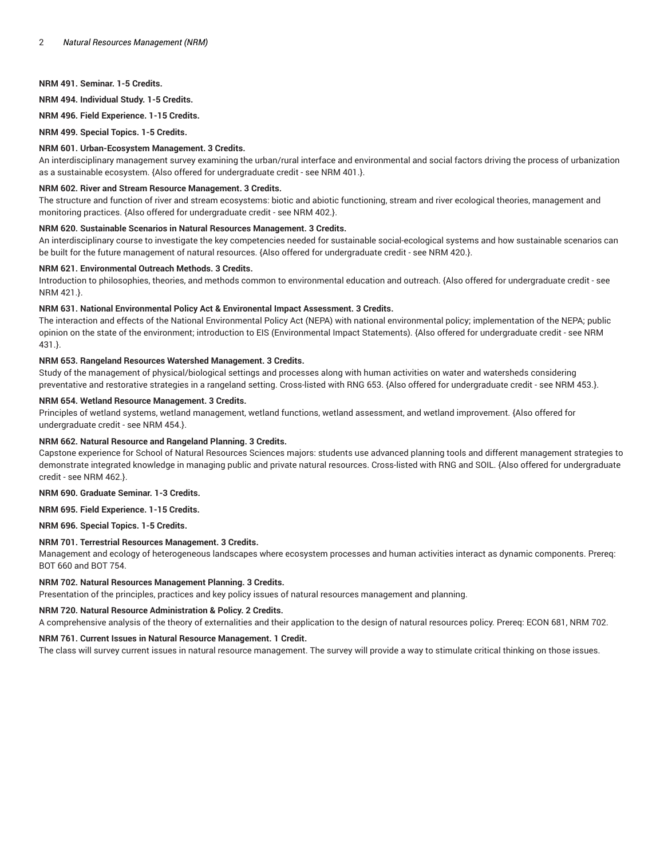# **NRM 491. Seminar. 1-5 Credits.**

**NRM 494. Individual Study. 1-5 Credits.**

**NRM 496. Field Experience. 1-15 Credits.**

**NRM 499. Special Topics. 1-5 Credits.**

# **NRM 601. Urban-Ecosystem Management. 3 Credits.**

An interdisciplinary management survey examining the urban/rural interface and environmental and social factors driving the process of urbanization as a sustainable ecosystem. {Also offered for undergraduate credit - see NRM 401.}.

### **NRM 602. River and Stream Resource Management. 3 Credits.**

The structure and function of river and stream ecosystems: biotic and abiotic functioning, stream and river ecological theories, management and monitoring practices. {Also offered for undergraduate credit - see NRM 402.}.

## **NRM 620. Sustainable Scenarios in Natural Resources Management. 3 Credits.**

An interdisciplinary course to investigate the key competencies needed for sustainable social-ecological systems and how sustainable scenarios can be built for the future management of natural resources. {Also offered for undergraduate credit - see NRM 420.}.

## **NRM 621. Environmental Outreach Methods. 3 Credits.**

Introduction to philosophies, theories, and methods common to environmental education and outreach. {Also offered for undergraduate credit - see NRM 421.}.

# **NRM 631. National Environmental Policy Act & Environental Impact Assessment. 3 Credits.**

The interaction and effects of the National Environmental Policy Act (NEPA) with national environmental policy; implementation of the NEPA; public opinion on the state of the environment; introduction to EIS (Environmental Impact Statements). {Also offered for undergraduate credit - see NRM 431.}.

# **NRM 653. Rangeland Resources Watershed Management. 3 Credits.**

Study of the management of physical/biological settings and processes along with human activities on water and watersheds considering preventative and restorative strategies in a rangeland setting. Cross-listed with RNG 653. {Also offered for undergraduate credit - see NRM 453.}.

## **NRM 654. Wetland Resource Management. 3 Credits.**

Principles of wetland systems, wetland management, wetland functions, wetland assessment, and wetland improvement. {Also offered for undergraduate credit - see NRM 454.}.

# **NRM 662. Natural Resource and Rangeland Planning. 3 Credits.**

Capstone experience for School of Natural Resources Sciences majors: students use advanced planning tools and different management strategies to demonstrate integrated knowledge in managing public and private natural resources. Cross-listed with RNG and SOIL. {Also offered for undergraduate credit - see NRM 462.}.

#### **NRM 690. Graduate Seminar. 1-3 Credits.**

#### **NRM 695. Field Experience. 1-15 Credits.**

#### **NRM 696. Special Topics. 1-5 Credits.**

# **NRM 701. Terrestrial Resources Management. 3 Credits.**

Management and ecology of heterogeneous landscapes where ecosystem processes and human activities interact as dynamic components. Prereq: BOT 660 and BOT 754.

#### **NRM 702. Natural Resources Management Planning. 3 Credits.**

Presentation of the principles, practices and key policy issues of natural resources management and planning.

#### **NRM 720. Natural Resource Administration & Policy. 2 Credits.**

A comprehensive analysis of the theory of externalities and their application to the design of natural resources policy. Prereq: ECON 681, NRM 702.

## **NRM 761. Current Issues in Natural Resource Management. 1 Credit.**

The class will survey current issues in natural resource management. The survey will provide a way to stimulate critical thinking on those issues.